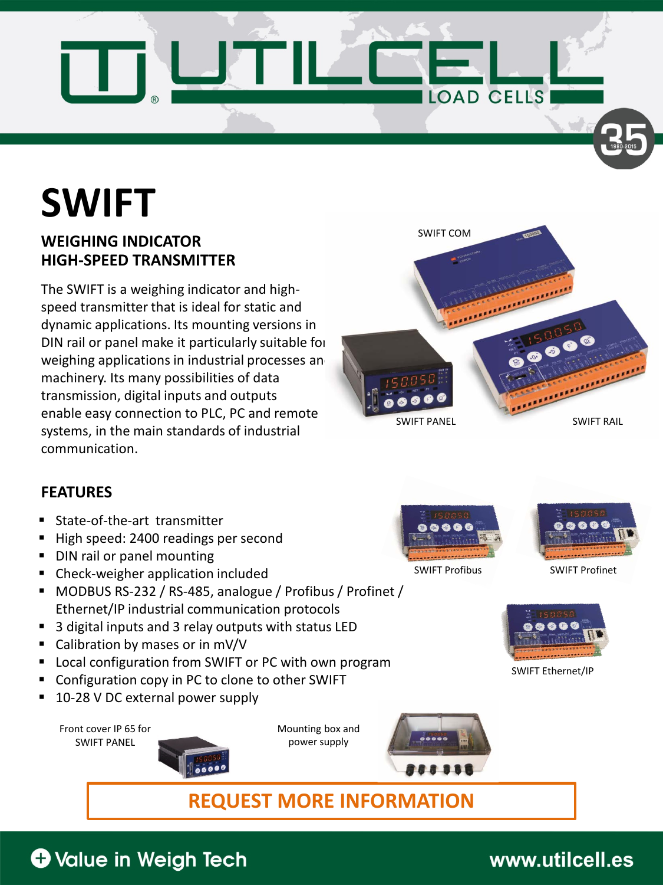

# **SWIFT**

#### **HIGH-SPEED TRANSMITTER WEIGHING INDICATOR**

The SWIFT is a weighing indicator and highspeed transmitter that is ideal for static and dynamic applications. Its mounting versions in DIN rail or panel make it particularly suitable for weighing applications in industrial processes an machinery. Its many possibilities of data transmission, digital inputs and outputs enable easy connection to PLC, PC and remote systems, in the main standards of industrial communication.



#### **FEATURES**

- State-of-the-art transmitter
- High speed: 2400 readings per second
- DIN rail or panel mounting
- Check-weigher application included
- MODBUS RS-232 / RS-485, analogue / Profibus / Profinet / Ethernet/IP industrial communication protocols
- 3 digital inputs and 3 relay outputs with status LED
- Calibration by mases or in mV/V
- Local configuration from SWIFT or PC with own program
- Configuration copy in PC to clone to other SWIFT
- 10-28 V DC external power supply

Front cover IP 65 for SWIFT PANEL



Mounting box and power supply





SWIFT Profibus SWIFT Profinet



SWIFT Ethernet/IP

**REQUEST MORE INFORMATION**

# **O** Value in Weigh Tech

### www.utilcell.es